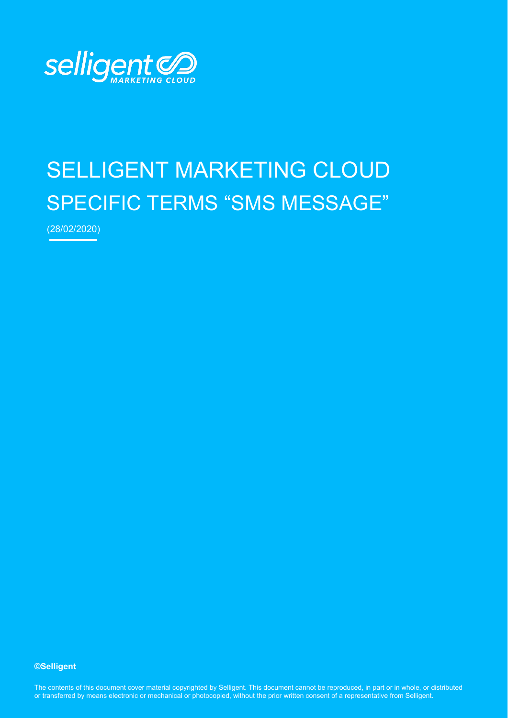

# SELLIGENT MARKETING CLOUD SPECIFIC TERMS "SMS MESSAGE"

(28/02/2020)

#### **©Selligent**

The contents of this document cover material copyrighted by Selligent. This document cannot be reproduced, in part or in whole, or distributed or transferred by means electronic or mechanical or photocopied, without the prior written consent of a representative from Selligent.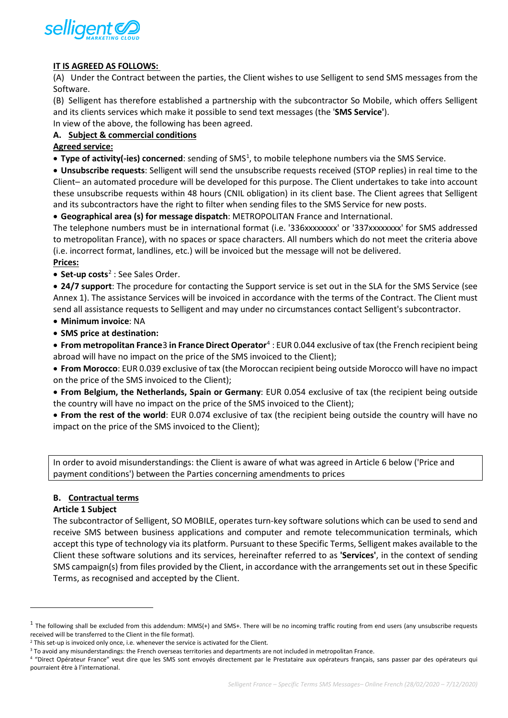

# **IT IS AGREED AS FOLLOWS:**

(A) Under the Contract between the parties, the Client wishes to use Selligent to send SMS messages from the Software.

(B) Selligent has therefore established a partnership with the subcontractor So Mobile, which offers Selligent and its clients services which make it possible to send text messages (the '**SMS Service'**).

In view of the above, the following has been agreed.

### **A. Subject & commercial conditions**

# **Agreed service:**

**• Type of activity(-ies) concerned**: sending of SMS<sup>[1](#page-1-0)</sup>, to mobile telephone numbers via the SMS Service.

• **Unsubscribe requests**: Selligent will send the unsubscribe requests received (STOP replies) in real time to the Client– an automated procedure will be developed for this purpose. The Client undertakes to take into account these unsubscribe requests within 48 hours (CNIL obligation) in its client base. The Client agrees that Selligent and its subcontractors have the right to filter when sending files to the SMS Service for new posts.

• **Geographical area (s) for message dispatch**: METROPOLITAN France and International.

The telephone numbers must be in international format (i.e. '336xxxxxxxx' or '337xxxxxxxx' for SMS addressed to metropolitan France), with no spaces or space characters. All numbers which do not meet the criteria above (i.e. incorrect format, landlines, etc.) will be invoiced but the message will not be delivered.

# **Prices:**

• **Set-up costs<sup>[2](#page-1-1)</sup>** : See Sales Order.

• **24/7 support**: The procedure for contacting the Support service is set out in the SLA for the SMS Service (see Annex 1). The assistance Services will be invoiced in accordance with the terms of the Contract. The Client must send all assistance requests to Selligent and may under no circumstances contact Selligent's subcontractor.

• **Minimum invoice**: NA

• **SMS price at destination:**

• **From metropolitan France**[3](#page-1-2) **in France Direct Operator**[4](#page-1-3) : EUR 0.044 exclusive of tax (the French recipient being abroad will have no impact on the price of the SMS invoiced to the Client);

• **From Morocco**: EUR 0.039 exclusive of tax (the Moroccan recipient being outside Morocco will have no impact on the price of the SMS invoiced to the Client);

• **From Belgium, the Netherlands, Spain or Germany**: EUR 0.054 exclusive of tax (the recipient being outside the country will have no impact on the price of the SMS invoiced to the Client);

• **From the rest of the world**: EUR 0.074 exclusive of tax (the recipient being outside the country will have no impact on the price of the SMS invoiced to the Client);

In order to avoid misunderstandings: the Client is aware of what was agreed in Article 6 below ('Price and payment conditions') between the Parties concerning amendments to prices

#### **B. Contractual terms**

#### **Article 1 Subject**

The subcontractor of Selligent, SO MOBILE, operates turn-key software solutions which can be used to send and receive SMS between business applications and computer and remote telecommunication terminals, which accept this type of technology via its platform. Pursuant to these Specific Terms, Selligent makes available to the Client these software solutions and its services, hereinafter referred to as **'Services'**, in the context of sending SMS campaign(s) from files provided by the Client, in accordance with the arrangements set out in these Specific Terms, as recognised and accepted by the Client.

<span id="page-1-0"></span> $1$  The following shall be excluded from this addendum: MMS(+) and SMS+. There will be no incoming traffic routing from end users (any unsubscribe requests received will be transferred to the Client in the file format).

<span id="page-1-2"></span><span id="page-1-1"></span><sup>&</sup>lt;sup>2</sup> This set-up is invoiced only once, i.e. whenever the service is activated for the Client.<br><sup>3</sup> To avoid any misunderstandings: the French overseas territories and departments are not included in metropolitan France.

<span id="page-1-3"></span><sup>4</sup> "Direct Opérateur France" veut dire que les SMS sont envoyés directement par le Prestataire aux opérateurs français, sans passer par des opérateurs qui pourraient être à l'international.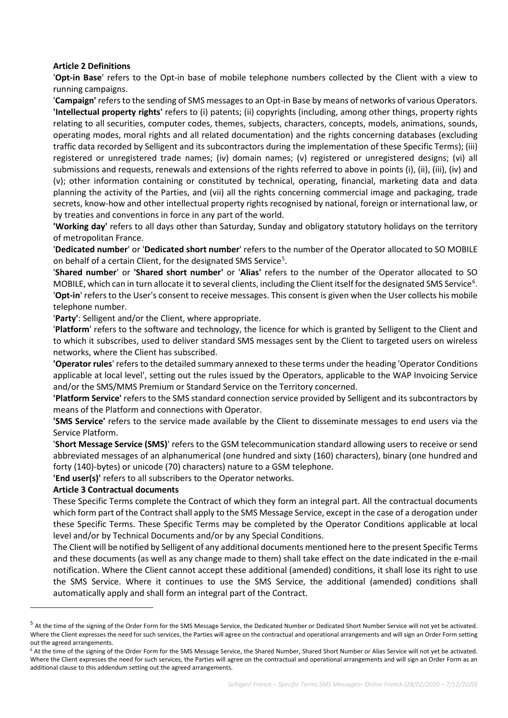### **Article 2 Definitions**

'**Opt-in Base**' refers to the Opt-in base of mobile telephone numbers collected by the Client with a view to running campaigns.

'**Campaign'** refers to the sending of SMS messages to an Opt-in Base by means of networks of various Operators. **'Intellectual property rights'** refers to (i) patents; (ii) copyrights (including, among other things, property rights relating to all securities, computer codes, themes, subjects, characters, concepts, models, animations, sounds, operating modes, moral rights and all related documentation) and the rights concerning databases (excluding traffic data recorded by Selligent and its subcontractors during the implementation of these Specific Terms); (iii) registered or unregistered trade names; (iv) domain names; (v) registered or unregistered designs; (vi) all submissions and requests, renewals and extensions of the rights referred to above in points (i), (ii), (iii), (iv) and (v); other information containing or constituted by technical, operating, financial, marketing data and data planning the activity of the Parties, and (vii) all the rights concerning commercial image and packaging, trade secrets, know-how and other intellectual property rights recognised by national, foreign or international law, or by treaties and conventions in force in any part of the world.

**'Working day'** refers to all days other than Saturday, Sunday and obligatory statutory holidays on the territory of metropolitan France.

'**Dedicated number**' or '**Dedicated short number**' refers to the number of the Operator allocated to SO MOBILE on behalf of a certain Client, for the designated SMS Service<sup>[5](#page-2-0)</sup>.

'**Shared number**' or **'Shared short number'** or '**Alias'** refers to the number of the Operator allocated to SO MOBILE, which can in turn allocate it to several clients, including the Client itself for the designated SMS Service<sup>[6](#page-2-1)</sup>. '**Opt-in**' refers to the User's consent to receive messages. This consent is given when the User collects his mobile telephone number.

'**Party'**: Selligent and/or the Client, where appropriate.

'**Platform**' refers to the software and technology, the licence for which is granted by Selligent to the Client and to which it subscribes, used to deliver standard SMS messages sent by the Client to targeted users on wireless networks, where the Client has subscribed.

**'Operator rules**' refers to the detailed summary annexed to these terms under the heading 'Operator Conditions applicable at local level', setting out the rules issued by the Operators, applicable to the WAP Invoicing Service and/or the SMS/MMS Premium or Standard Service on the Territory concerned.

**'Platform Service'** refers to the SMS standard connection service provided by Selligent and its subcontractors by means of the Platform and connections with Operator.

**'SMS Service'** refers to the service made available by the Client to disseminate messages to end users via the Service Platform.

'**Short Message Service (SMS)**' refers to the GSM telecommunication standard allowing users to receive or send abbreviated messages of an alphanumerical (one hundred and sixty (160) characters), binary (one hundred and forty (140)-bytes) or unicode (70) characters) nature to a GSM telephone.

**'End user(s)'** refers to all subscribers to the Operator networks.

#### **Article 3 Contractual documents**

These Specific Terms complete the Contract of which they form an integral part. All the contractual documents which form part of the Contract shall apply to the SMS Message Service, except in the case of a derogation under these Specific Terms. These Specific Terms may be completed by the Operator Conditions applicable at local level and/or by Technical Documents and/or by any Special Conditions.

The Client will be notified by Selligent of any additional documents mentioned here to the present Specific Terms and these documents (as well as any change made to them) shall take effect on the date indicated in the e-mail notification. Where the Client cannot accept these additional (amended) conditions, it shall lose its right to use the SMS Service. Where it continues to use the SMS Service, the additional (amended) conditions shall automatically apply and shall form an integral part of the Contract.

<span id="page-2-0"></span><sup>&</sup>lt;sup>5</sup> At the time of the signing of the Order Form for the SMS Message Service, the Dedicated Number or Dedicated Short Number Service will not yet be activated. Where the Client expresses the need for such services, the Parties will agree on the contractual and operational arrangements and will sign an Order Form setting out the agreed arrangements.

<span id="page-2-1"></span><sup>&</sup>lt;sup>6</sup> At the time of the signing of the Order Form for the SMS Message Service, the Shared Number, Shared Short Number or Alias Service will not yet be activated. Where the Client expresses the need for such services, the Parties will agree on the contractual and operational arrangements and will sign an Order Form as an additional clause to this addendum setting out the agreed arrangements.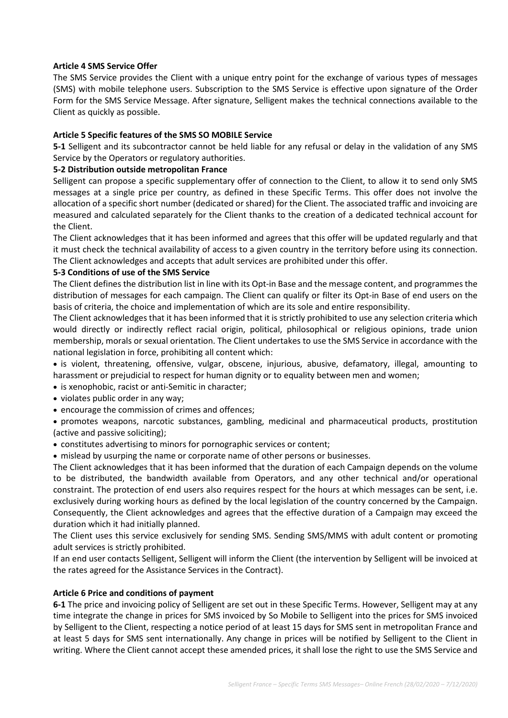### **Article 4 SMS Service Offer**

The SMS Service provides the Client with a unique entry point for the exchange of various types of messages (SMS) with mobile telephone users. Subscription to the SMS Service is effective upon signature of the Order Form for the SMS Service Message. After signature, Selligent makes the technical connections available to the Client as quickly as possible.

# **Article 5 Specific features of the SMS SO MOBILE Service**

**5-1** Selligent and its subcontractor cannot be held liable for any refusal or delay in the validation of any SMS Service by the Operators or regulatory authorities.

# **5-2 Distribution outside metropolitan France**

Selligent can propose a specific supplementary offer of connection to the Client, to allow it to send only SMS messages at a single price per country, as defined in these Specific Terms. This offer does not involve the allocation of a specific short number (dedicated or shared) for the Client. The associated traffic and invoicing are measured and calculated separately for the Client thanks to the creation of a dedicated technical account for the Client.

The Client acknowledges that it has been informed and agrees that this offer will be updated regularly and that it must check the technical availability of access to a given country in the territory before using its connection. The Client acknowledges and accepts that adult services are prohibited under this offer.

# **5-3 Conditions of use of the SMS Service**

The Client defines the distribution list in line with its Opt-in Base and the message content, and programmes the distribution of messages for each campaign. The Client can qualify or filter its Opt-in Base of end users on the basis of criteria, the choice and implementation of which are its sole and entire responsibility.

The Client acknowledges that it has been informed that it is strictly prohibited to use any selection criteria which would directly or indirectly reflect racial origin, political, philosophical or religious opinions, trade union membership, morals or sexual orientation. The Client undertakes to use the SMS Service in accordance with the national legislation in force, prohibiting all content which:

• is violent, threatening, offensive, vulgar, obscene, injurious, abusive, defamatory, illegal, amounting to harassment or prejudicial to respect for human dignity or to equality between men and women;

- is xenophobic, racist or anti-Semitic in character;
- violates public order in any way;
- encourage the commission of crimes and offences;
- promotes weapons, narcotic substances, gambling, medicinal and pharmaceutical products, prostitution (active and passive soliciting);
- constitutes advertising to minors for pornographic services or content;
- mislead by usurping the name or corporate name of other persons or businesses.

The Client acknowledges that it has been informed that the duration of each Campaign depends on the volume to be distributed, the bandwidth available from Operators, and any other technical and/or operational constraint. The protection of end users also requires respect for the hours at which messages can be sent, i.e. exclusively during working hours as defined by the local legislation of the country concerned by the Campaign. Consequently, the Client acknowledges and agrees that the effective duration of a Campaign may exceed the duration which it had initially planned.

The Client uses this service exclusively for sending SMS. Sending SMS/MMS with adult content or promoting adult services is strictly prohibited.

If an end user contacts Selligent, Selligent will inform the Client (the intervention by Selligent will be invoiced at the rates agreed for the Assistance Services in the Contract).

#### **Article 6 Price and conditions of payment**

**6-1** The price and invoicing policy of Selligent are set out in these Specific Terms. However, Selligent may at any time integrate the change in prices for SMS invoiced by So Mobile to Selligent into the prices for SMS invoiced by Selligent to the Client, respecting a notice period of at least 15 days for SMS sent in metropolitan France and at least 5 days for SMS sent internationally. Any change in prices will be notified by Selligent to the Client in writing. Where the Client cannot accept these amended prices, it shall lose the right to use the SMS Service and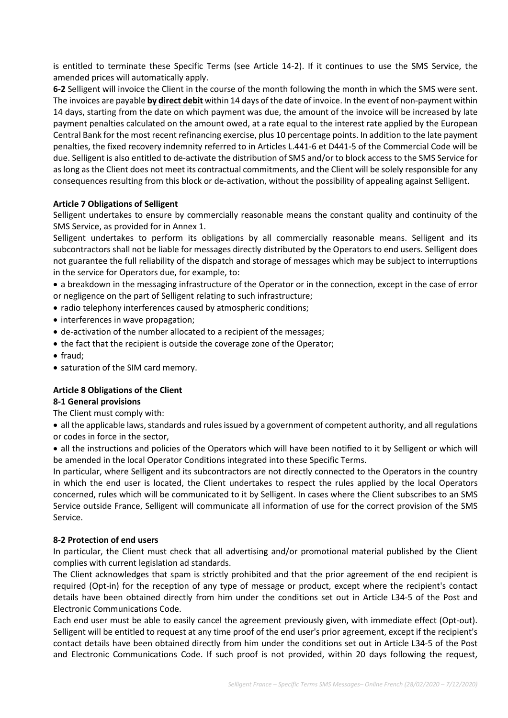is entitled to terminate these Specific Terms (see Article 14-2). If it continues to use the SMS Service, the amended prices will automatically apply.

**6-2** Selligent will invoice the Client in the course of the month following the month in which the SMS were sent. The invoices are payable **by direct debit** within 14 days of the date of invoice. In the event of non-payment within 14 days, starting from the date on which payment was due, the amount of the invoice will be increased by late payment penalties calculated on the amount owed, at a rate equal to the interest rate applied by the European Central Bank for the most recent refinancing exercise, plus 10 percentage points. In addition to the late payment penalties, the fixed recovery indemnity referred to in Articles L.441-6 et D441-5 of the Commercial Code will be due. Selligent is also entitled to de-activate the distribution of SMS and/or to block access to the SMS Service for as long as the Client does not meet its contractual commitments, and the Client will be solely responsible for any consequences resulting from this block or de-activation, without the possibility of appealing against Selligent.

# **Article 7 Obligations of Selligent**

Selligent undertakes to ensure by commercially reasonable means the constant quality and continuity of the SMS Service, as provided for in Annex 1.

Selligent undertakes to perform its obligations by all commercially reasonable means. Selligent and its subcontractors shall not be liable for messages directly distributed by the Operators to end users. Selligent does not guarantee the full reliability of the dispatch and storage of messages which may be subject to interruptions in the service for Operators due, for example, to:

• a breakdown in the messaging infrastructure of the Operator or in the connection, except in the case of error or negligence on the part of Selligent relating to such infrastructure;

- radio telephony interferences caused by atmospheric conditions;
- interferences in wave propagation;
- de-activation of the number allocated to a recipient of the messages;
- the fact that the recipient is outside the coverage zone of the Operator;
- fraud;
- saturation of the SIM card memory.

# **Article 8 Obligations of the Client**

#### **8-1 General provisions**

The Client must comply with:

• all the applicable laws, standards and rules issued by a government of competent authority, and all regulations or codes in force in the sector,

• all the instructions and policies of the Operators which will have been notified to it by Selligent or which will be amended in the local Operator Conditions integrated into these Specific Terms.

In particular, where Selligent and its subcontractors are not directly connected to the Operators in the country in which the end user is located, the Client undertakes to respect the rules applied by the local Operators concerned, rules which will be communicated to it by Selligent. In cases where the Client subscribes to an SMS Service outside France, Selligent will communicate all information of use for the correct provision of the SMS Service.

#### **8-2 Protection of end users**

In particular, the Client must check that all advertising and/or promotional material published by the Client complies with current legislation ad standards.

The Client acknowledges that spam is strictly prohibited and that the prior agreement of the end recipient is required (Opt-in) for the reception of any type of message or product, except where the recipient's contact details have been obtained directly from him under the conditions set out in Article L34-5 of the Post and Electronic Communications Code.

Each end user must be able to easily cancel the agreement previously given, with immediate effect (Opt-out). Selligent will be entitled to request at any time proof of the end user's prior agreement, except if the recipient's contact details have been obtained directly from him under the conditions set out in Article L34-5 of the Post and Electronic Communications Code. If such proof is not provided, within 20 days following the request,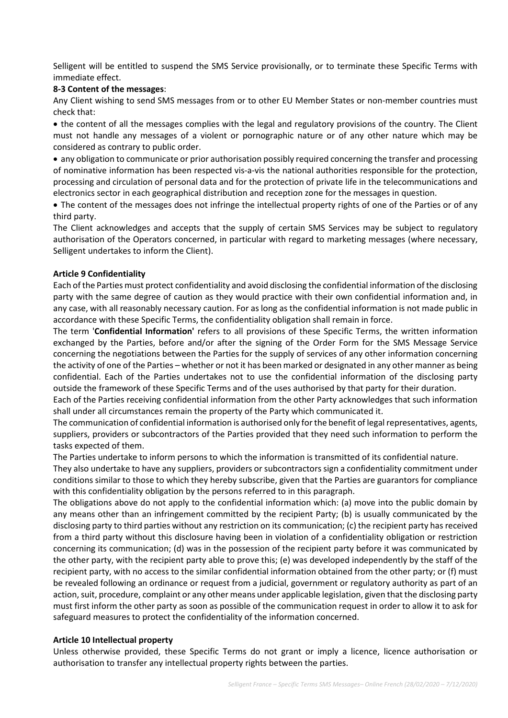Selligent will be entitled to suspend the SMS Service provisionally, or to terminate these Specific Terms with immediate effect.

#### **8-3 Content of the messages**:

Any Client wishing to send SMS messages from or to other EU Member States or non-member countries must check that:

• the content of all the messages complies with the legal and regulatory provisions of the country. The Client must not handle any messages of a violent or pornographic nature or of any other nature which may be considered as contrary to public order.

• any obligation to communicate or prior authorisation possibly required concerning the transfer and processing of nominative information has been respected vis-a-vis the national authorities responsible for the protection, processing and circulation of personal data and for the protection of private life in the telecommunications and electronics sector in each geographical distribution and reception zone for the messages in question.

• The content of the messages does not infringe the intellectual property rights of one of the Parties or of any third party.

The Client acknowledges and accepts that the supply of certain SMS Services may be subject to regulatory authorisation of the Operators concerned, in particular with regard to marketing messages (where necessary, Selligent undertakes to inform the Client).

#### **Article 9 Confidentiality**

Each of the Parties must protect confidentiality and avoid disclosing the confidential information of the disclosing party with the same degree of caution as they would practice with their own confidential information and, in any case, with all reasonably necessary caution. For as long as the confidential information is not made public in accordance with these Specific Terms, the confidentiality obligation shall remain in force.

The term '**Confidential Information'** refers to all provisions of these Specific Terms, the written information exchanged by the Parties, before and/or after the signing of the Order Form for the SMS Message Service concerning the negotiations between the Parties for the supply of services of any other information concerning the activity of one of the Parties – whether or not it has been marked or designated in any other manner as being confidential. Each of the Parties undertakes not to use the confidential information of the disclosing party outside the framework of these Specific Terms and of the uses authorised by that party for their duration.

Each of the Parties receiving confidential information from the other Party acknowledges that such information shall under all circumstances remain the property of the Party which communicated it.

The communication of confidential information is authorised only for the benefit of legal representatives, agents, suppliers, providers or subcontractors of the Parties provided that they need such information to perform the tasks expected of them.

The Parties undertake to inform persons to which the information is transmitted of its confidential nature.

They also undertake to have any suppliers, providers or subcontractors sign a confidentiality commitment under conditions similar to those to which they hereby subscribe, given that the Parties are guarantors for compliance with this confidentiality obligation by the persons referred to in this paragraph.

The obligations above do not apply to the confidential information which: (a) move into the public domain by any means other than an infringement committed by the recipient Party; (b) is usually communicated by the disclosing party to third parties without any restriction on its communication; (c) the recipient party has received from a third party without this disclosure having been in violation of a confidentiality obligation or restriction concerning its communication; (d) was in the possession of the recipient party before it was communicated by the other party, with the recipient party able to prove this; (e) was developed independently by the staff of the recipient party, with no access to the similar confidential information obtained from the other party; or (f) must be revealed following an ordinance or request from a judicial, government or regulatory authority as part of an action, suit, procedure, complaint or any other means under applicable legislation, given that the disclosing party must first inform the other party as soon as possible of the communication request in order to allow it to ask for safeguard measures to protect the confidentiality of the information concerned.

#### **Article 10 Intellectual property**

Unless otherwise provided, these Specific Terms do not grant or imply a licence, licence authorisation or authorisation to transfer any intellectual property rights between the parties.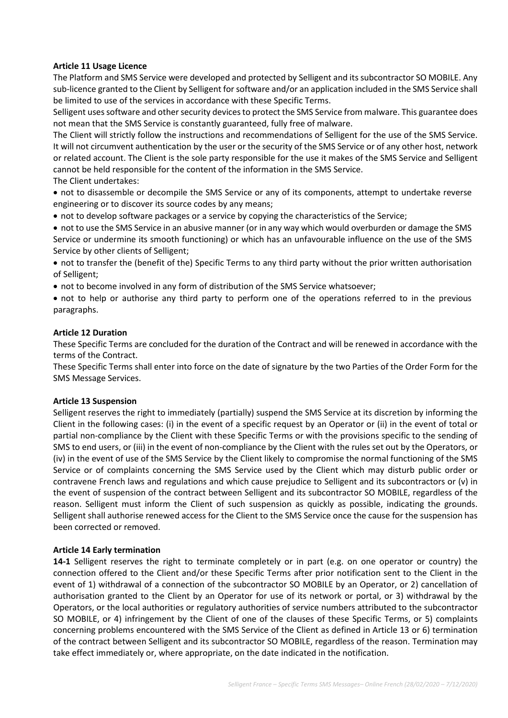### **Article 11 Usage Licence**

The Platform and SMS Service were developed and protected by Selligent and its subcontractor SO MOBILE. Any sub-licence granted to the Client by Selligent for software and/or an application included in the SMS Service shall be limited to use of the services in accordance with these Specific Terms.

Selligent uses software and other security devices to protect the SMS Service from malware. This guarantee does not mean that the SMS Service is constantly guaranteed, fully free of malware.

The Client will strictly follow the instructions and recommendations of Selligent for the use of the SMS Service. It will not circumvent authentication by the user or the security of the SMS Service or of any other host, network or related account. The Client is the sole party responsible for the use it makes of the SMS Service and Selligent cannot be held responsible for the content of the information in the SMS Service.

The Client undertakes:

• not to disassemble or decompile the SMS Service or any of its components, attempt to undertake reverse engineering or to discover its source codes by any means;

• not to develop software packages or a service by copying the characteristics of the Service;

• not to use the SMS Service in an abusive manner (or in any way which would overburden or damage the SMS Service or undermine its smooth functioning) or which has an unfavourable influence on the use of the SMS Service by other clients of Selligent;

• not to transfer the (benefit of the) Specific Terms to any third party without the prior written authorisation of Selligent;

• not to become involved in any form of distribution of the SMS Service whatsoever;

• not to help or authorise any third party to perform one of the operations referred to in the previous paragraphs.

#### **Article 12 Duration**

These Specific Terms are concluded for the duration of the Contract and will be renewed in accordance with the terms of the Contract.

These Specific Terms shall enter into force on the date of signature by the two Parties of the Order Form for the SMS Message Services.

#### **Article 13 Suspension**

Selligent reserves the right to immediately (partially) suspend the SMS Service at its discretion by informing the Client in the following cases: (i) in the event of a specific request by an Operator or (ii) in the event of total or partial non-compliance by the Client with these Specific Terms or with the provisions specific to the sending of SMS to end users, or (iii) in the event of non-compliance by the Client with the rules set out by the Operators, or (iv) in the event of use of the SMS Service by the Client likely to compromise the normal functioning of the SMS Service or of complaints concerning the SMS Service used by the Client which may disturb public order or contravene French laws and regulations and which cause prejudice to Selligent and its subcontractors or (v) in the event of suspension of the contract between Selligent and its subcontractor SO MOBILE, regardless of the reason. Selligent must inform the Client of such suspension as quickly as possible, indicating the grounds. Selligent shall authorise renewed access for the Client to the SMS Service once the cause for the suspension has been corrected or removed.

#### **Article 14 Early termination**

**14-1** Selligent reserves the right to terminate completely or in part (e.g. on one operator or country) the connection offered to the Client and/or these Specific Terms after prior notification sent to the Client in the event of 1) withdrawal of a connection of the subcontractor SO MOBILE by an Operator, or 2) cancellation of authorisation granted to the Client by an Operator for use of its network or portal, or 3) withdrawal by the Operators, or the local authorities or regulatory authorities of service numbers attributed to the subcontractor SO MOBILE, or 4) infringement by the Client of one of the clauses of these Specific Terms, or 5) complaints concerning problems encountered with the SMS Service of the Client as defined in Article 13 or 6) termination of the contract between Selligent and its subcontractor SO MOBILE, regardless of the reason. Termination may take effect immediately or, where appropriate, on the date indicated in the notification.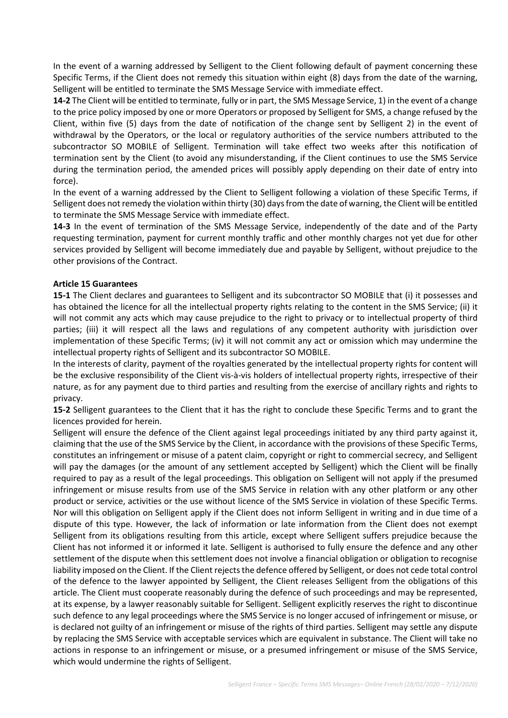In the event of a warning addressed by Selligent to the Client following default of payment concerning these Specific Terms, if the Client does not remedy this situation within eight (8) days from the date of the warning, Selligent will be entitled to terminate the SMS Message Service with immediate effect.

**14-2** The Client will be entitled to terminate, fully or in part, the SMS Message Service, 1) in the event of a change to the price policy imposed by one or more Operators or proposed by Selligent for SMS, a change refused by the Client, within five (5) days from the date of notification of the change sent by Selligent 2) in the event of withdrawal by the Operators, or the local or regulatory authorities of the service numbers attributed to the subcontractor SO MOBILE of Selligent. Termination will take effect two weeks after this notification of termination sent by the Client (to avoid any misunderstanding, if the Client continues to use the SMS Service during the termination period, the amended prices will possibly apply depending on their date of entry into force).

In the event of a warning addressed by the Client to Selligent following a violation of these Specific Terms, if Selligent does not remedy the violation within thirty (30) days from the date of warning, the Client will be entitled to terminate the SMS Message Service with immediate effect.

**14-3** In the event of termination of the SMS Message Service, independently of the date and of the Party requesting termination, payment for current monthly traffic and other monthly charges not yet due for other services provided by Selligent will become immediately due and payable by Selligent, without prejudice to the other provisions of the Contract.

#### **Article 15 Guarantees**

**15-1** The Client declares and guarantees to Selligent and its subcontractor SO MOBILE that (i) it possesses and has obtained the licence for all the intellectual property rights relating to the content in the SMS Service; (ii) it will not commit any acts which may cause prejudice to the right to privacy or to intellectual property of third parties; (iii) it will respect all the laws and regulations of any competent authority with jurisdiction over implementation of these Specific Terms; (iv) it will not commit any act or omission which may undermine the intellectual property rights of Selligent and its subcontractor SO MOBILE.

In the interests of clarity, payment of the royalties generated by the intellectual property rights for content will be the exclusive responsibility of the Client vis-à-vis holders of intellectual property rights, irrespective of their nature, as for any payment due to third parties and resulting from the exercise of ancillary rights and rights to privacy.

**15-2** Selligent guarantees to the Client that it has the right to conclude these Specific Terms and to grant the licences provided for herein.

Selligent will ensure the defence of the Client against legal proceedings initiated by any third party against it, claiming that the use of the SMS Service by the Client, in accordance with the provisions of these Specific Terms, constitutes an infringement or misuse of a patent claim, copyright or right to commercial secrecy, and Selligent will pay the damages (or the amount of any settlement accepted by Selligent) which the Client will be finally required to pay as a result of the legal proceedings. This obligation on Selligent will not apply if the presumed infringement or misuse results from use of the SMS Service in relation with any other platform or any other product or service, activities or the use without licence of the SMS Service in violation of these Specific Terms. Nor will this obligation on Selligent apply if the Client does not inform Selligent in writing and in due time of a dispute of this type. However, the lack of information or late information from the Client does not exempt Selligent from its obligations resulting from this article, except where Selligent suffers prejudice because the Client has not informed it or informed it late. Selligent is authorised to fully ensure the defence and any other settlement of the dispute when this settlement does not involve a financial obligation or obligation to recognise liability imposed on the Client. If the Client rejects the defence offered by Selligent, or does not cede total control of the defence to the lawyer appointed by Selligent, the Client releases Selligent from the obligations of this article. The Client must cooperate reasonably during the defence of such proceedings and may be represented, at its expense, by a lawyer reasonably suitable for Selligent. Selligent explicitly reserves the right to discontinue such defence to any legal proceedings where the SMS Service is no longer accused of infringement or misuse, or is declared not guilty of an infringement or misuse of the rights of third parties. Selligent may settle any dispute by replacing the SMS Service with acceptable services which are equivalent in substance. The Client will take no actions in response to an infringement or misuse, or a presumed infringement or misuse of the SMS Service, which would undermine the rights of Selligent.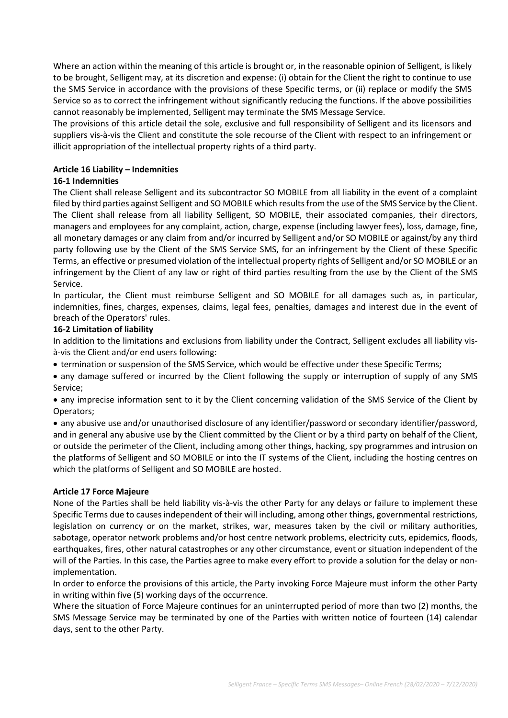Where an action within the meaning of this article is brought or, in the reasonable opinion of Selligent, is likely to be brought, Selligent may, at its discretion and expense: (i) obtain for the Client the right to continue to use the SMS Service in accordance with the provisions of these Specific terms, or (ii) replace or modify the SMS Service so as to correct the infringement without significantly reducing the functions. If the above possibilities cannot reasonably be implemented, Selligent may terminate the SMS Message Service.

The provisions of this article detail the sole, exclusive and full responsibility of Selligent and its licensors and suppliers vis-à-vis the Client and constitute the sole recourse of the Client with respect to an infringement or illicit appropriation of the intellectual property rights of a third party.

# **Article 16 Liability – Indemnities**

# **16-1 Indemnities**

The Client shall release Selligent and its subcontractor SO MOBILE from all liability in the event of a complaint filed by third parties against Selligent and SO MOBILE which results from the use of the SMS Service by the Client. The Client shall release from all liability Selligent, SO MOBILE, their associated companies, their directors, managers and employees for any complaint, action, charge, expense (including lawyer fees), loss, damage, fine, all monetary damages or any claim from and/or incurred by Selligent and/or SO MOBILE or against/by any third party following use by the Client of the SMS Service SMS, for an infringement by the Client of these Specific Terms, an effective or presumed violation of the intellectual property rights of Selligent and/or SO MOBILE or an infringement by the Client of any law or right of third parties resulting from the use by the Client of the SMS Service.

In particular, the Client must reimburse Selligent and SO MOBILE for all damages such as, in particular, indemnities, fines, charges, expenses, claims, legal fees, penalties, damages and interest due in the event of breach of the Operators' rules.

#### **16-2 Limitation of liability**

In addition to the limitations and exclusions from liability under the Contract, Selligent excludes all liability visà-vis the Client and/or end users following:

• termination or suspension of the SMS Service, which would be effective under these Specific Terms;

• any damage suffered or incurred by the Client following the supply or interruption of supply of any SMS Service;

• any imprecise information sent to it by the Client concerning validation of the SMS Service of the Client by Operators;

• any abusive use and/or unauthorised disclosure of any identifier/password or secondary identifier/password, and in general any abusive use by the Client committed by the Client or by a third party on behalf of the Client, or outside the perimeter of the Client, including among other things, hacking, spy programmes and intrusion on the platforms of Selligent and SO MOBILE or into the IT systems of the Client, including the hosting centres on which the platforms of Selligent and SO MOBILE are hosted.

#### **Article 17 Force Majeure**

None of the Parties shall be held liability vis-à-vis the other Party for any delays or failure to implement these Specific Terms due to causes independent of their will including, among other things, governmental restrictions, legislation on currency or on the market, strikes, war, measures taken by the civil or military authorities, sabotage, operator network problems and/or host centre network problems, electricity cuts, epidemics, floods, earthquakes, fires, other natural catastrophes or any other circumstance, event or situation independent of the will of the Parties. In this case, the Parties agree to make every effort to provide a solution for the delay or nonimplementation.

In order to enforce the provisions of this article, the Party invoking Force Majeure must inform the other Party in writing within five (5) working days of the occurrence.

Where the situation of Force Majeure continues for an uninterrupted period of more than two (2) months, the SMS Message Service may be terminated by one of the Parties with written notice of fourteen (14) calendar days, sent to the other Party.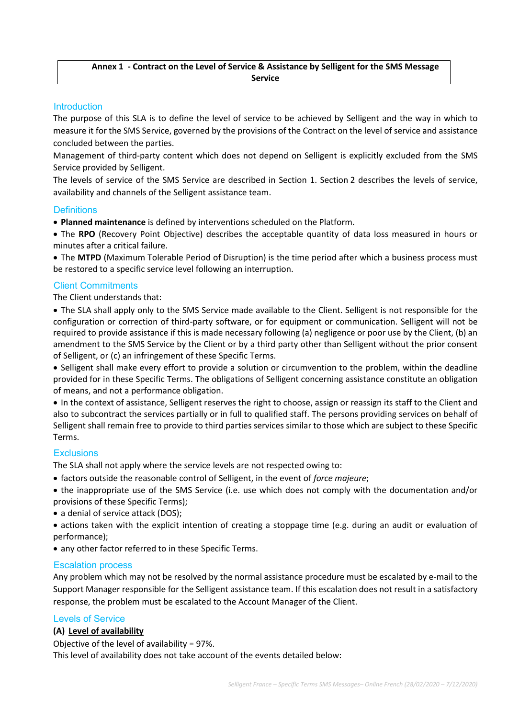# **Annex 1 - Contract on the Level of Service & Assistance by Selligent for the SMS Message Service**

# **Introduction**

The purpose of this SLA is to define the level of service to be achieved by Selligent and the way in which to measure it for the SMS Service, governed by the provisions of the Contract on the level of service and assistance concluded between the parties.

Management of third-party content which does not depend on Selligent is explicitly excluded from the SMS Service provided by Selligent.

The levels of service of the SMS Service are described in Section 1. Section 2 describes the levels of service, availability and channels of the Selligent assistance team.

#### **Definitions**

• **Planned maintenance** is defined by interventions scheduled on the Platform.

• The **RPO** (Recovery Point Objective) describes the acceptable quantity of data loss measured in hours or minutes after a critical failure.

• The **MTPD** (Maximum Tolerable Period of Disruption) is the time period after which a business process must be restored to a specific service level following an interruption.

# Client Commitments

The Client understands that:

• The SLA shall apply only to the SMS Service made available to the Client. Selligent is not responsible for the configuration or correction of third-party software, or for equipment or communication. Selligent will not be required to provide assistance if this is made necessary following (a) negligence or poor use by the Client, (b) an amendment to the SMS Service by the Client or by a third party other than Selligent without the prior consent of Selligent, or (c) an infringement of these Specific Terms.

• Selligent shall make every effort to provide a solution or circumvention to the problem, within the deadline provided for in these Specific Terms. The obligations of Selligent concerning assistance constitute an obligation of means, and not a performance obligation.

• In the context of assistance, Selligent reserves the right to choose, assign or reassign its staff to the Client and also to subcontract the services partially or in full to qualified staff. The persons providing services on behalf of Selligent shall remain free to provide to third parties services similar to those which are subject to these Specific Terms.

#### **Exclusions**

The SLA shall not apply where the service levels are not respected owing to:

• factors outside the reasonable control of Selligent, in the event of *force majeure*;

• the inappropriate use of the SMS Service (i.e. use which does not comply with the documentation and/or provisions of these Specific Terms);

- a denial of service attack (DOS);
- actions taken with the explicit intention of creating a stoppage time (e.g. during an audit or evaluation of performance);
- any other factor referred to in these Specific Terms.

#### Escalation process

Any problem which may not be resolved by the normal assistance procedure must be escalated by e-mail to the Support Manager responsible for the Selligent assistance team. If this escalation does not result in a satisfactory response, the problem must be escalated to the Account Manager of the Client.

#### Levels of Service

#### **(A) Level of availability**

Objective of the level of availability = 97%.

This level of availability does not take account of the events detailed below: